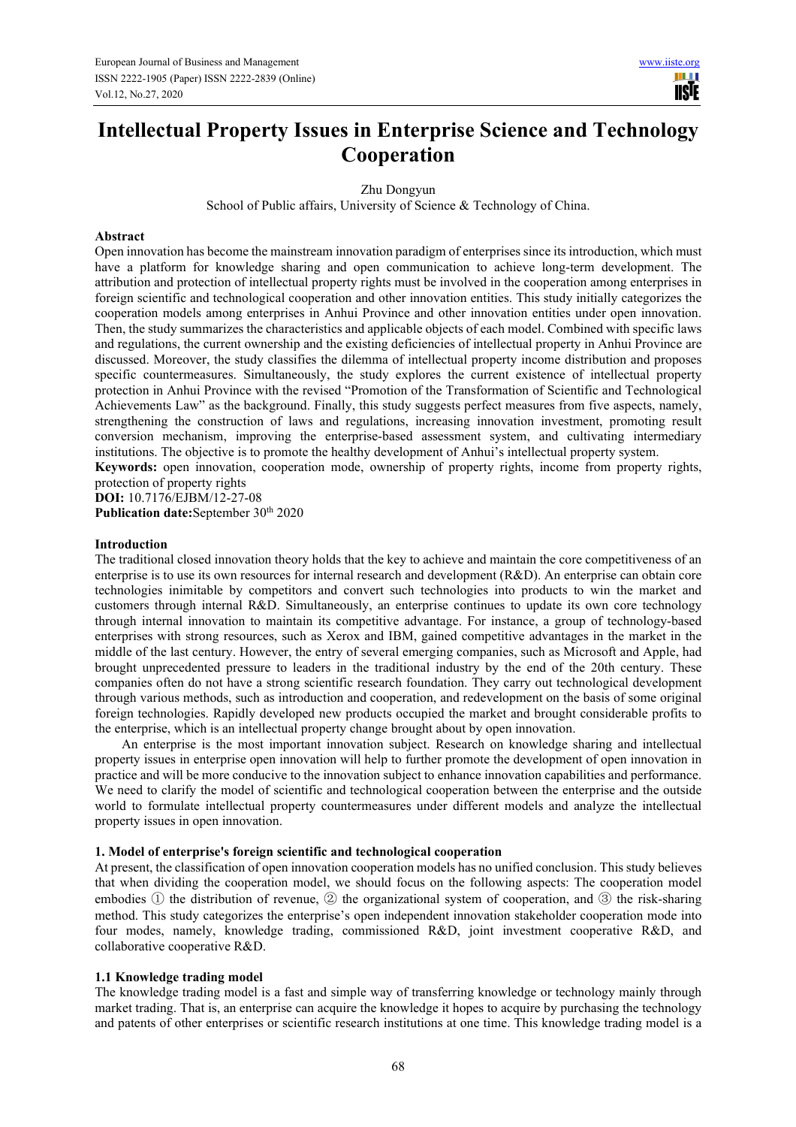11 H **IISIE** 

# **Intellectual Property Issues in Enterprise Science and Technology Cooperation**

Zhu Dongyun

School of Public affairs, University of Science & Technology of China.

#### **Abstract**

Open innovation has become the mainstream innovation paradigm of enterprises since its introduction, which must have a platform for knowledge sharing and open communication to achieve long-term development. The attribution and protection of intellectual property rights must be involved in the cooperation among enterprises in foreign scientific and technological cooperation and other innovation entities. This study initially categorizes the cooperation models among enterprises in Anhui Province and other innovation entities under open innovation. Then, the study summarizes the characteristics and applicable objects of each model. Combined with specific laws and regulations, the current ownership and the existing deficiencies of intellectual property in Anhui Province are discussed. Moreover, the study classifies the dilemma of intellectual property income distribution and proposes specific countermeasures. Simultaneously, the study explores the current existence of intellectual property protection in Anhui Province with the revised "Promotion of the Transformation of Scientific and Technological Achievements Law" as the background. Finally, this study suggests perfect measures from five aspects, namely, strengthening the construction of laws and regulations, increasing innovation investment, promoting result conversion mechanism, improving the enterprise-based assessment system, and cultivating intermediary institutions. The objective is to promote the healthy development of Anhui's intellectual property system.

**Keywords:** open innovation, cooperation mode, ownership of property rights, income from property rights, protection of property rights

**DOI:** 10.7176/EJBM/12-27-08 Publication date:September 30<sup>th</sup> 2020

#### **Introduction**

The traditional closed innovation theory holds that the key to achieve and maintain the core competitiveness of an enterprise is to use its own resources for internal research and development (R&D). An enterprise can obtain core technologies inimitable by competitors and convert such technologies into products to win the market and customers through internal R&D. Simultaneously, an enterprise continues to update its own core technology through internal innovation to maintain its competitive advantage. For instance, a group of technology-based enterprises with strong resources, such as Xerox and IBM, gained competitive advantages in the market in the middle of the last century. However, the entry of several emerging companies, such as Microsoft and Apple, had brought unprecedented pressure to leaders in the traditional industry by the end of the 20th century. These companies often do not have a strong scientific research foundation. They carry out technological development through various methods, such as introduction and cooperation, and redevelopment on the basis of some original foreign technologies. Rapidly developed new products occupied the market and brought considerable profits to the enterprise, which is an intellectual property change brought about by open innovation.

An enterprise is the most important innovation subject. Research on knowledge sharing and intellectual property issues in enterprise open innovation will help to further promote the development of open innovation in practice and will be more conducive to the innovation subject to enhance innovation capabilities and performance. We need to clarify the model of scientific and technological cooperation between the enterprise and the outside world to formulate intellectual property countermeasures under different models and analyze the intellectual property issues in open innovation.

#### **1. Model of enterprise's foreign scientific and technological cooperation**

At present, the classification of open innovation cooperation models has no unified conclusion. This study believes that when dividing the cooperation model, we should focus on the following aspects: The cooperation model embodies ① the distribution of revenue, ② the organizational system of cooperation, and ③ the risk-sharing method. This study categorizes the enterprise's open independent innovation stakeholder cooperation mode into four modes, namely, knowledge trading, commissioned R&D, joint investment cooperative R&D, and collaborative cooperative R&D.

#### **1.1 Knowledge trading model**

The knowledge trading model is a fast and simple way of transferring knowledge or technology mainly through market trading. That is, an enterprise can acquire the knowledge it hopes to acquire by purchasing the technology and patents of other enterprises or scientific research institutions at one time. This knowledge trading model is a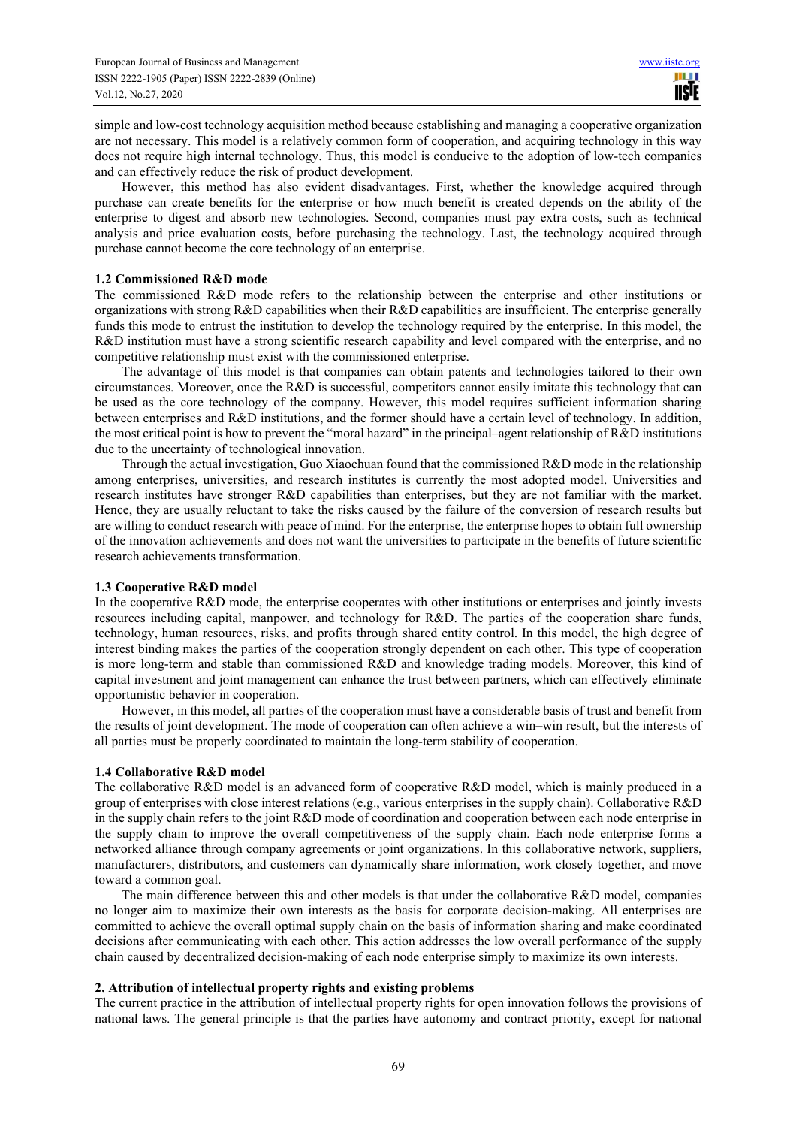simple and low-cost technology acquisition method because establishing and managing a cooperative organization are not necessary. This model is a relatively common form of cooperation, and acquiring technology in this way does not require high internal technology. Thus, this model is conducive to the adoption of low-tech companies and can effectively reduce the risk of product development.

However, this method has also evident disadvantages. First, whether the knowledge acquired through purchase can create benefits for the enterprise or how much benefit is created depends on the ability of the enterprise to digest and absorb new technologies. Second, companies must pay extra costs, such as technical analysis and price evaluation costs, before purchasing the technology. Last, the technology acquired through purchase cannot become the core technology of an enterprise.

#### **1.2 Commissioned R&D mode**

The commissioned R&D mode refers to the relationship between the enterprise and other institutions or organizations with strong R&D capabilities when their R&D capabilities are insufficient. The enterprise generally funds this mode to entrust the institution to develop the technology required by the enterprise. In this model, the R&D institution must have a strong scientific research capability and level compared with the enterprise, and no competitive relationship must exist with the commissioned enterprise.

The advantage of this model is that companies can obtain patents and technologies tailored to their own circumstances. Moreover, once the R&D is successful, competitors cannot easily imitate this technology that can be used as the core technology of the company. However, this model requires sufficient information sharing between enterprises and R&D institutions, and the former should have a certain level of technology. In addition, the most critical point is how to prevent the "moral hazard" in the principal–agent relationship of R&D institutions due to the uncertainty of technological innovation.

Through the actual investigation, Guo Xiaochuan found that the commissioned R&D mode in the relationship among enterprises, universities, and research institutes is currently the most adopted model. Universities and research institutes have stronger R&D capabilities than enterprises, but they are not familiar with the market. Hence, they are usually reluctant to take the risks caused by the failure of the conversion of research results but are willing to conduct research with peace of mind. For the enterprise, the enterprise hopes to obtain full ownership of the innovation achievements and does not want the universities to participate in the benefits of future scientific research achievements transformation.

## **1.3 Cooperative R&D model**

In the cooperative R&D mode, the enterprise cooperates with other institutions or enterprises and jointly invests resources including capital, manpower, and technology for R&D. The parties of the cooperation share funds, technology, human resources, risks, and profits through shared entity control. In this model, the high degree of interest binding makes the parties of the cooperation strongly dependent on each other. This type of cooperation is more long-term and stable than commissioned R&D and knowledge trading models. Moreover, this kind of capital investment and joint management can enhance the trust between partners, which can effectively eliminate opportunistic behavior in cooperation.

However, in this model, all parties of the cooperation must have a considerable basis of trust and benefit from the results of joint development. The mode of cooperation can often achieve a win–win result, but the interests of all parties must be properly coordinated to maintain the long-term stability of cooperation.

## **1.4 Collaborative R&D model**

The collaborative R&D model is an advanced form of cooperative R&D model, which is mainly produced in a group of enterprises with close interest relations (e.g., various enterprises in the supply chain). Collaborative R&D in the supply chain refers to the joint R&D mode of coordination and cooperation between each node enterprise in the supply chain to improve the overall competitiveness of the supply chain. Each node enterprise forms a networked alliance through company agreements or joint organizations. In this collaborative network, suppliers, manufacturers, distributors, and customers can dynamically share information, work closely together, and move toward a common goal.

The main difference between this and other models is that under the collaborative R&D model, companies no longer aim to maximize their own interests as the basis for corporate decision-making. All enterprises are committed to achieve the overall optimal supply chain on the basis of information sharing and make coordinated decisions after communicating with each other. This action addresses the low overall performance of the supply chain caused by decentralized decision-making of each node enterprise simply to maximize its own interests.

## **2. Attribution of intellectual property rights and existing problems**

The current practice in the attribution of intellectual property rights for open innovation follows the provisions of national laws. The general principle is that the parties have autonomy and contract priority, except for national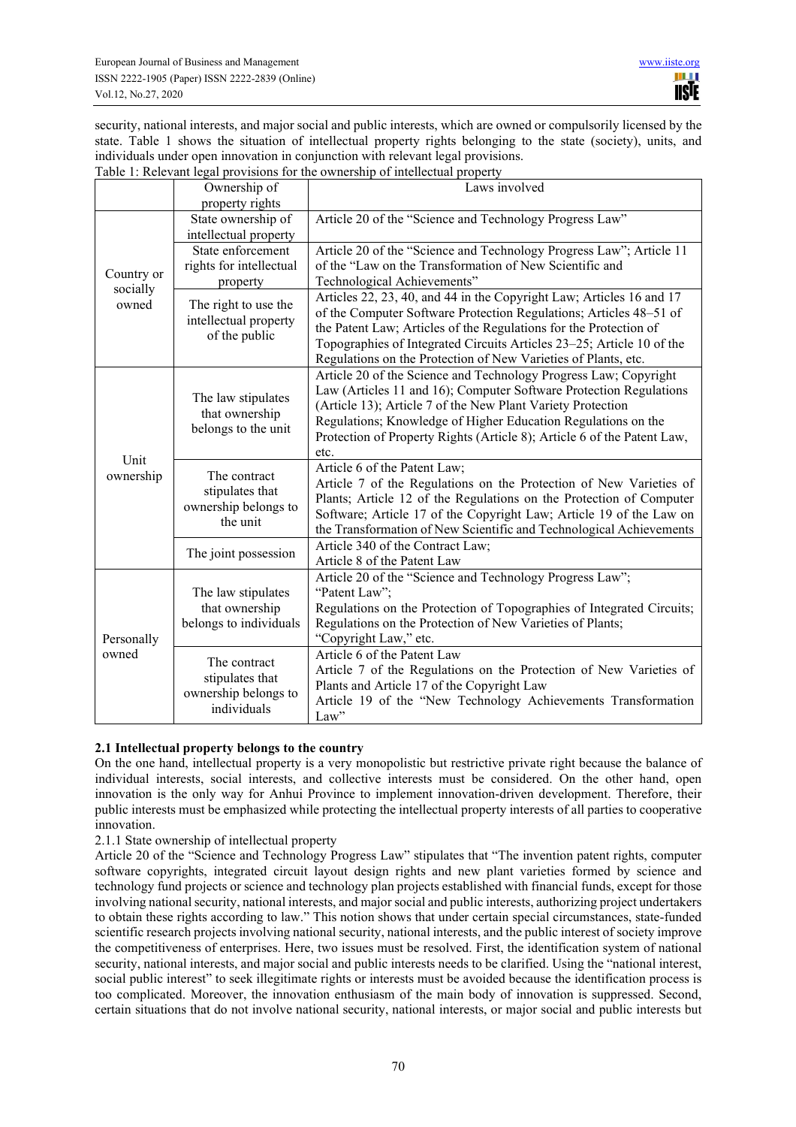security, national interests, and major social and public interests, which are owned or compulsorily licensed by the state. Table 1 shows the situation of intellectual property rights belonging to the state (society), units, and individuals under open innovation in conjunction with relevant legal provisions. Table 1: Relevant legal provisions for the ownership of intellectual property

|                                 | Ownership of                                                           | ar provisions for the ownership of micheetaal property<br>Laws involved                                                                                                                                                                                                                                                                                    |
|---------------------------------|------------------------------------------------------------------------|------------------------------------------------------------------------------------------------------------------------------------------------------------------------------------------------------------------------------------------------------------------------------------------------------------------------------------------------------------|
|                                 | property rights                                                        |                                                                                                                                                                                                                                                                                                                                                            |
| Country or<br>socially<br>owned | State ownership of<br>intellectual property                            | Article 20 of the "Science and Technology Progress Law"                                                                                                                                                                                                                                                                                                    |
|                                 | State enforcement                                                      | Article 20 of the "Science and Technology Progress Law"; Article 11                                                                                                                                                                                                                                                                                        |
|                                 | rights for intellectual                                                | of the "Law on the Transformation of New Scientific and                                                                                                                                                                                                                                                                                                    |
|                                 | property                                                               | Technological Achievements"                                                                                                                                                                                                                                                                                                                                |
|                                 | The right to use the<br>intellectual property<br>of the public         | Articles 22, 23, 40, and 44 in the Copyright Law; Articles 16 and 17<br>of the Computer Software Protection Regulations; Articles 48-51 of<br>the Patent Law; Articles of the Regulations for the Protection of<br>Topographies of Integrated Circuits Articles 23–25; Article 10 of the<br>Regulations on the Protection of New Varieties of Plants, etc. |
| Unit<br>ownership               | The law stipulates<br>that ownership<br>belongs to the unit            | Article 20 of the Science and Technology Progress Law; Copyright<br>Law (Articles 11 and 16); Computer Software Protection Regulations<br>(Article 13); Article 7 of the New Plant Variety Protection<br>Regulations; Knowledge of Higher Education Regulations on the<br>Protection of Property Rights (Article 8); Article 6 of the Patent Law,<br>etc.  |
|                                 | The contract<br>stipulates that<br>ownership belongs to<br>the unit    | Article 6 of the Patent Law;<br>Article 7 of the Regulations on the Protection of New Varieties of<br>Plants; Article 12 of the Regulations on the Protection of Computer<br>Software; Article 17 of the Copyright Law; Article 19 of the Law on<br>the Transformation of New Scientific and Technological Achievements                                    |
|                                 | The joint possession                                                   | Article 340 of the Contract Law;<br>Article 8 of the Patent Law                                                                                                                                                                                                                                                                                            |
| Personally<br>owned             | The law stipulates<br>that ownership<br>belongs to individuals         | Article 20 of the "Science and Technology Progress Law";<br>"Patent Law";<br>Regulations on the Protection of Topographies of Integrated Circuits;<br>Regulations on the Protection of New Varieties of Plants;<br>"Copyright Law," etc.                                                                                                                   |
|                                 | The contract<br>stipulates that<br>ownership belongs to<br>individuals | Article 6 of the Patent Law<br>Article 7 of the Regulations on the Protection of New Varieties of<br>Plants and Article 17 of the Copyright Law<br>Article 19 of the "New Technology Achievements Transformation<br>Law"                                                                                                                                   |

## **2.1 Intellectual property belongs to the country**

On the one hand, intellectual property is a very monopolistic but restrictive private right because the balance of individual interests, social interests, and collective interests must be considered. On the other hand, open innovation is the only way for Anhui Province to implement innovation-driven development. Therefore, their public interests must be emphasized while protecting the intellectual property interests of all parties to cooperative innovation.

2.1.1 State ownership of intellectual property

Article 20 of the "Science and Technology Progress Law" stipulates that "The invention patent rights, computer software copyrights, integrated circuit layout design rights and new plant varieties formed by science and technology fund projects or science and technology plan projects established with financial funds, except for those involving national security, national interests, and major social and public interests, authorizing project undertakers to obtain these rights according to law." This notion shows that under certain special circumstances, state-funded scientific research projects involving national security, national interests, and the public interest of society improve the competitiveness of enterprises. Here, two issues must be resolved. First, the identification system of national security, national interests, and major social and public interests needs to be clarified. Using the "national interest, social public interest" to seek illegitimate rights or interests must be avoided because the identification process is too complicated. Moreover, the innovation enthusiasm of the main body of innovation is suppressed. Second, certain situations that do not involve national security, national interests, or major social and public interests but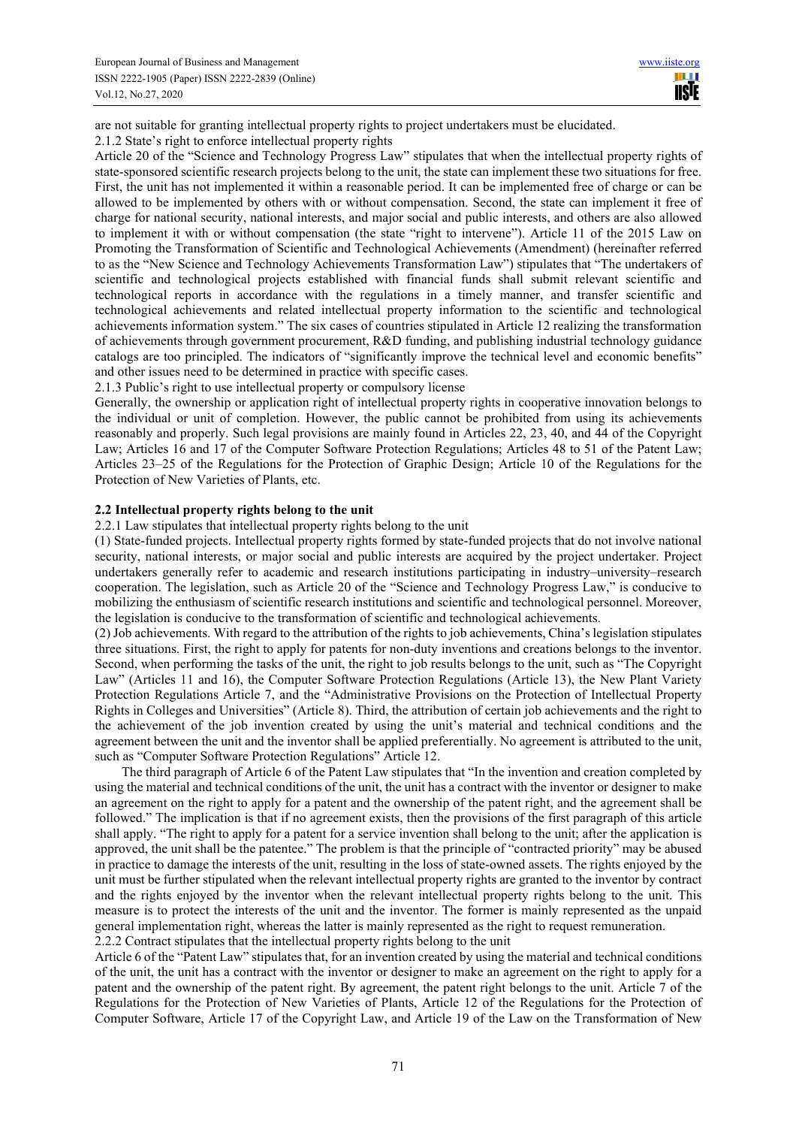are not suitable for granting intellectual property rights to project undertakers must be elucidated. 2.1.2 State's right to enforce intellectual property rights

Article 20 of the "Science and Technology Progress Law" stipulates that when the intellectual property rights of state-sponsored scientific research projects belong to the unit, the state can implement these two situations for free. First, the unit has not implemented it within a reasonable period. It can be implemented free of charge or can be allowed to be implemented by others with or without compensation. Second, the state can implement it free of charge for national security, national interests, and major social and public interests, and others are also allowed to implement it with or without compensation (the state "right to intervene"). Article 11 of the 2015 Law on Promoting the Transformation of Scientific and Technological Achievements (Amendment) (hereinafter referred to as the "New Science and Technology Achievements Transformation Law") stipulates that "The undertakers of scientific and technological projects established with financial funds shall submit relevant scientific and technological reports in accordance with the regulations in a timely manner, and transfer scientific and technological achievements and related intellectual property information to the scientific and technological achievements information system." The six cases of countries stipulated in Article 12 realizing the transformation of achievements through government procurement, R&D funding, and publishing industrial technology guidance catalogs are too principled. The indicators of "significantly improve the technical level and economic benefits" and other issues need to be determined in practice with specific cases.

2.1.3 Public's right to use intellectual property or compulsory license

Generally, the ownership or application right of intellectual property rights in cooperative innovation belongs to the individual or unit of completion. However, the public cannot be prohibited from using its achievements reasonably and properly. Such legal provisions are mainly found in Articles 22, 23, 40, and 44 of the Copyright Law; Articles 16 and 17 of the Computer Software Protection Regulations; Articles 48 to 51 of the Patent Law; Articles 23–25 of the Regulations for the Protection of Graphic Design; Article 10 of the Regulations for the Protection of New Varieties of Plants, etc.

## **2.2 Intellectual property rights belong to the unit**

2.2.1 Law stipulates that intellectual property rights belong to the unit

(1) State-funded projects. Intellectual property rights formed by state-funded projects that do not involve national security, national interests, or major social and public interests are acquired by the project undertaker. Project undertakers generally refer to academic and research institutions participating in industry–university–research cooperation. The legislation, such as Article 20 of the "Science and Technology Progress Law," is conducive to mobilizing the enthusiasm of scientific research institutions and scientific and technological personnel. Moreover, the legislation is conducive to the transformation of scientific and technological achievements.

(2) Job achievements. With regard to the attribution of the rights to job achievements, China's legislation stipulates three situations. First, the right to apply for patents for non-duty inventions and creations belongs to the inventor. Second, when performing the tasks of the unit, the right to job results belongs to the unit, such as "The Copyright Law" (Articles 11 and 16), the Computer Software Protection Regulations (Article 13), the New Plant Variety Protection Regulations Article 7, and the "Administrative Provisions on the Protection of Intellectual Property Rights in Colleges and Universities" (Article 8). Third, the attribution of certain job achievements and the right to the achievement of the job invention created by using the unit's material and technical conditions and the agreement between the unit and the inventor shall be applied preferentially. No agreement is attributed to the unit, such as "Computer Software Protection Regulations" Article 12.

The third paragraph of Article 6 of the Patent Law stipulates that "In the invention and creation completed by using the material and technical conditions of the unit, the unit has a contract with the inventor or designer to make an agreement on the right to apply for a patent and the ownership of the patent right, and the agreement shall be followed." The implication is that if no agreement exists, then the provisions of the first paragraph of this article shall apply. "The right to apply for a patent for a service invention shall belong to the unit; after the application is approved, the unit shall be the patentee." The problem is that the principle of "contracted priority" may be abused in practice to damage the interests of the unit, resulting in the loss of state-owned assets. The rights enjoyed by the unit must be further stipulated when the relevant intellectual property rights are granted to the inventor by contract and the rights enjoyed by the inventor when the relevant intellectual property rights belong to the unit. This measure is to protect the interests of the unit and the inventor. The former is mainly represented as the unpaid general implementation right, whereas the latter is mainly represented as the right to request remuneration. 2.2.2 Contract stipulates that the intellectual property rights belong to the unit

Article 6 of the "Patent Law" stipulates that, for an invention created by using the material and technical conditions of the unit, the unit has a contract with the inventor or designer to make an agreement on the right to apply for a patent and the ownership of the patent right. By agreement, the patent right belongs to the unit. Article 7 of the Regulations for the Protection of New Varieties of Plants, Article 12 of the Regulations for the Protection of Computer Software, Article 17 of the Copyright Law, and Article 19 of the Law on the Transformation of New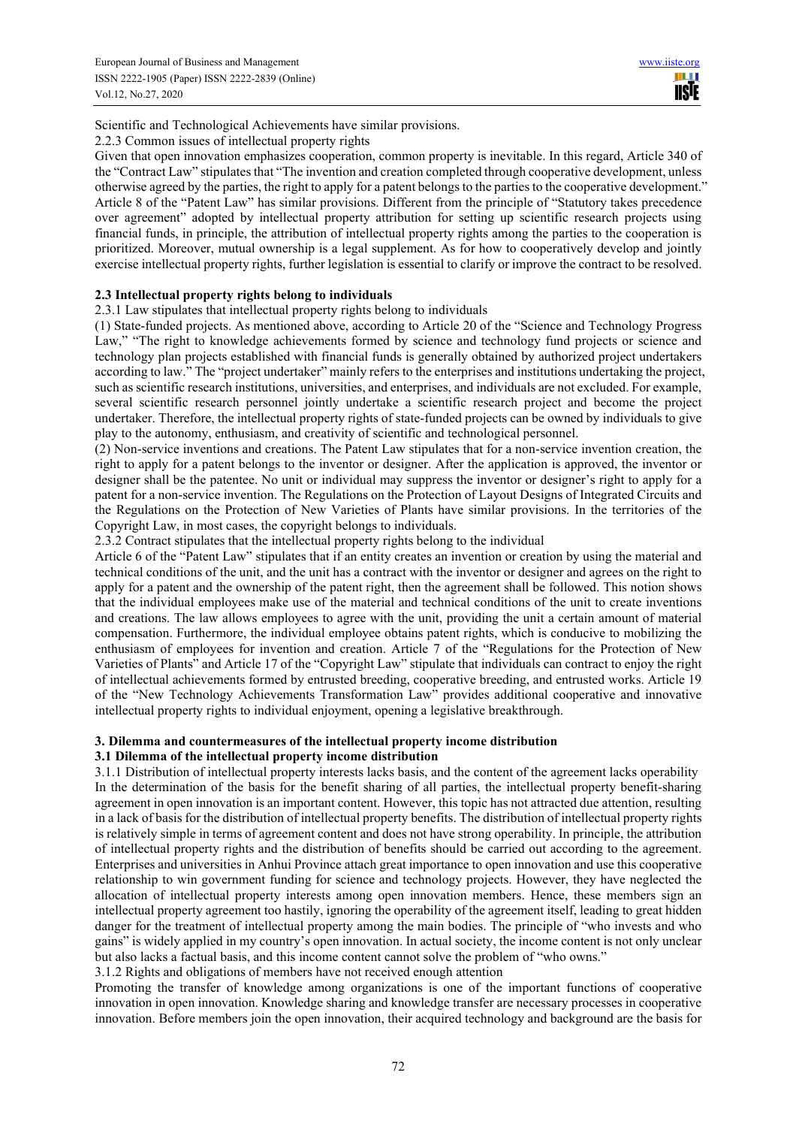ш **IISIE** 

Scientific and Technological Achievements have similar provisions.

2.2.3 Common issues of intellectual property rights

Given that open innovation emphasizes cooperation, common property is inevitable. In this regard, Article 340 of the "Contract Law" stipulates that "The invention and creation completed through cooperative development, unless otherwise agreed by the parties, the right to apply for a patent belongs to the parties to the cooperative development." Article 8 of the "Patent Law" has similar provisions. Different from the principle of "Statutory takes precedence over agreement" adopted by intellectual property attribution for setting up scientific research projects using financial funds, in principle, the attribution of intellectual property rights among the parties to the cooperation is prioritized. Moreover, mutual ownership is a legal supplement. As for how to cooperatively develop and jointly exercise intellectual property rights, further legislation is essential to clarify or improve the contract to be resolved.

## **2.3 Intellectual property rights belong to individuals**

2.3.1 Law stipulates that intellectual property rights belong to individuals

(1) State-funded projects. As mentioned above, according to Article 20 of the "Science and Technology Progress Law," "The right to knowledge achievements formed by science and technology fund projects or science and technology plan projects established with financial funds is generally obtained by authorized project undertakers according to law." The "project undertaker" mainly refers to the enterprises and institutions undertaking the project, such as scientific research institutions, universities, and enterprises, and individuals are not excluded. For example, several scientific research personnel jointly undertake a scientific research project and become the project undertaker. Therefore, the intellectual property rights of state-funded projects can be owned by individuals to give play to the autonomy, enthusiasm, and creativity of scientific and technological personnel.

(2) Non-service inventions and creations. The Patent Law stipulates that for a non-service invention creation, the right to apply for a patent belongs to the inventor or designer. After the application is approved, the inventor or designer shall be the patentee. No unit or individual may suppress the inventor or designer's right to apply for a patent for a non-service invention. The Regulations on the Protection of Layout Designs of Integrated Circuits and the Regulations on the Protection of New Varieties of Plants have similar provisions. In the territories of the Copyright Law, in most cases, the copyright belongs to individuals.

2.3.2 Contract stipulates that the intellectual property rights belong to the individual

Article 6 of the "Patent Law" stipulates that if an entity creates an invention or creation by using the material and technical conditions of the unit, and the unit has a contract with the inventor or designer and agrees on the right to apply for a patent and the ownership of the patent right, then the agreement shall be followed. This notion shows that the individual employees make use of the material and technical conditions of the unit to create inventions and creations. The law allows employees to agree with the unit, providing the unit a certain amount of material compensation. Furthermore, the individual employee obtains patent rights, which is conducive to mobilizing the enthusiasm of employees for invention and creation. Article 7 of the "Regulations for the Protection of New Varieties of Plants" and Article 17 of the "Copyright Law" stipulate that individuals can contract to enjoy the right of intellectual achievements formed by entrusted breeding, cooperative breeding, and entrusted works. Article 19 of the "New Technology Achievements Transformation Law" provides additional cooperative and innovative intellectual property rights to individual enjoyment, opening a legislative breakthrough.

## **3. Dilemma and countermeasures of the intellectual property income distribution**

## **3.1 Dilemma of the intellectual property income distribution**

3.1.1 Distribution of intellectual property interests lacks basis, and the content of the agreement lacks operability In the determination of the basis for the benefit sharing of all parties, the intellectual property benefit-sharing agreement in open innovation is an important content. However, this topic has not attracted due attention, resulting in a lack of basis for the distribution of intellectual property benefits. The distribution of intellectual property rights is relatively simple in terms of agreement content and does not have strong operability. In principle, the attribution of intellectual property rights and the distribution of benefits should be carried out according to the agreement. Enterprises and universities in Anhui Province attach great importance to open innovation and use this cooperative relationship to win government funding for science and technology projects. However, they have neglected the allocation of intellectual property interests among open innovation members. Hence, these members sign an intellectual property agreement too hastily, ignoring the operability of the agreement itself, leading to great hidden danger for the treatment of intellectual property among the main bodies. The principle of "who invests and who gains" is widely applied in my country's open innovation. In actual society, the income content is not only unclear but also lacks a factual basis, and this income content cannot solve the problem of "who owns."

3.1.2 Rights and obligations of members have not received enough attention

Promoting the transfer of knowledge among organizations is one of the important functions of cooperative innovation in open innovation. Knowledge sharing and knowledge transfer are necessary processes in cooperative innovation. Before members join the open innovation, their acquired technology and background are the basis for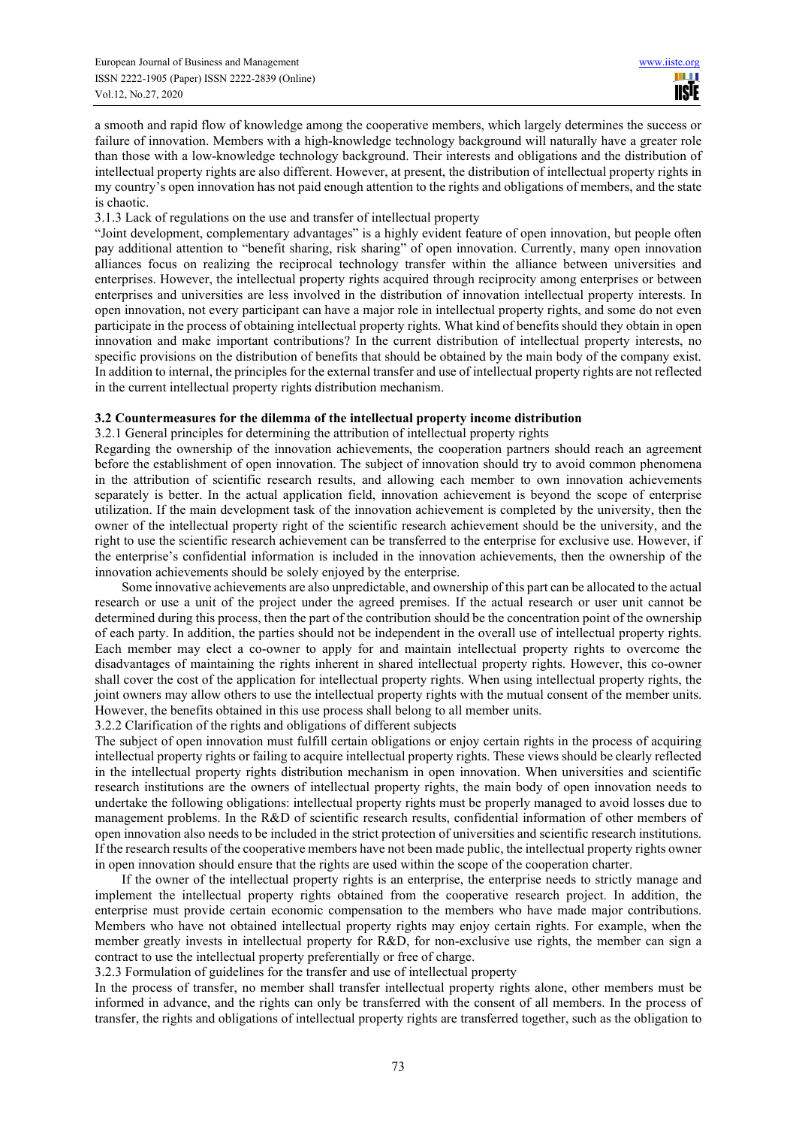a smooth and rapid flow of knowledge among the cooperative members, which largely determines the success or failure of innovation. Members with a high-knowledge technology background will naturally have a greater role than those with a low-knowledge technology background. Their interests and obligations and the distribution of intellectual property rights are also different. However, at present, the distribution of intellectual property rights in my country's open innovation has not paid enough attention to the rights and obligations of members, and the state is chaotic.

3.1.3 Lack of regulations on the use and transfer of intellectual property

"Joint development, complementary advantages" is a highly evident feature of open innovation, but people often pay additional attention to "benefit sharing, risk sharing" of open innovation. Currently, many open innovation alliances focus on realizing the reciprocal technology transfer within the alliance between universities and enterprises. However, the intellectual property rights acquired through reciprocity among enterprises or between enterprises and universities are less involved in the distribution of innovation intellectual property interests. In open innovation, not every participant can have a major role in intellectual property rights, and some do not even participate in the process of obtaining intellectual property rights. What kind of benefits should they obtain in open innovation and make important contributions? In the current distribution of intellectual property interests, no specific provisions on the distribution of benefits that should be obtained by the main body of the company exist. In addition to internal, the principles for the external transfer and use of intellectual property rights are not reflected in the current intellectual property rights distribution mechanism.

#### **3.2 Countermeasures for the dilemma of the intellectual property income distribution**

3.2.1 General principles for determining the attribution of intellectual property rights

Regarding the ownership of the innovation achievements, the cooperation partners should reach an agreement before the establishment of open innovation. The subject of innovation should try to avoid common phenomena in the attribution of scientific research results, and allowing each member to own innovation achievements separately is better. In the actual application field, innovation achievement is beyond the scope of enterprise utilization. If the main development task of the innovation achievement is completed by the university, then the owner of the intellectual property right of the scientific research achievement should be the university, and the right to use the scientific research achievement can be transferred to the enterprise for exclusive use. However, if the enterprise's confidential information is included in the innovation achievements, then the ownership of the innovation achievements should be solely enjoyed by the enterprise.

Some innovative achievements are also unpredictable, and ownership of this part can be allocated to the actual research or use a unit of the project under the agreed premises. If the actual research or user unit cannot be determined during this process, then the part of the contribution should be the concentration point of the ownership of each party. In addition, the parties should not be independent in the overall use of intellectual property rights. Each member may elect a co-owner to apply for and maintain intellectual property rights to overcome the disadvantages of maintaining the rights inherent in shared intellectual property rights. However, this co-owner shall cover the cost of the application for intellectual property rights. When using intellectual property rights, the joint owners may allow others to use the intellectual property rights with the mutual consent of the member units. However, the benefits obtained in this use process shall belong to all member units.

3.2.2 Clarification of the rights and obligations of different subjects

The subject of open innovation must fulfill certain obligations or enjoy certain rights in the process of acquiring intellectual property rights or failing to acquire intellectual property rights. These views should be clearly reflected in the intellectual property rights distribution mechanism in open innovation. When universities and scientific research institutions are the owners of intellectual property rights, the main body of open innovation needs to undertake the following obligations: intellectual property rights must be properly managed to avoid losses due to management problems. In the R&D of scientific research results, confidential information of other members of open innovation also needs to be included in the strict protection of universities and scientific research institutions. If the research results of the cooperative members have not been made public, the intellectual property rights owner in open innovation should ensure that the rights are used within the scope of the cooperation charter.

If the owner of the intellectual property rights is an enterprise, the enterprise needs to strictly manage and implement the intellectual property rights obtained from the cooperative research project. In addition, the enterprise must provide certain economic compensation to the members who have made major contributions. Members who have not obtained intellectual property rights may enjoy certain rights. For example, when the member greatly invests in intellectual property for R&D, for non-exclusive use rights, the member can sign a contract to use the intellectual property preferentially or free of charge.

3.2.3 Formulation of guidelines for the transfer and use of intellectual property

In the process of transfer, no member shall transfer intellectual property rights alone, other members must be informed in advance, and the rights can only be transferred with the consent of all members. In the process of transfer, the rights and obligations of intellectual property rights are transferred together, such as the obligation to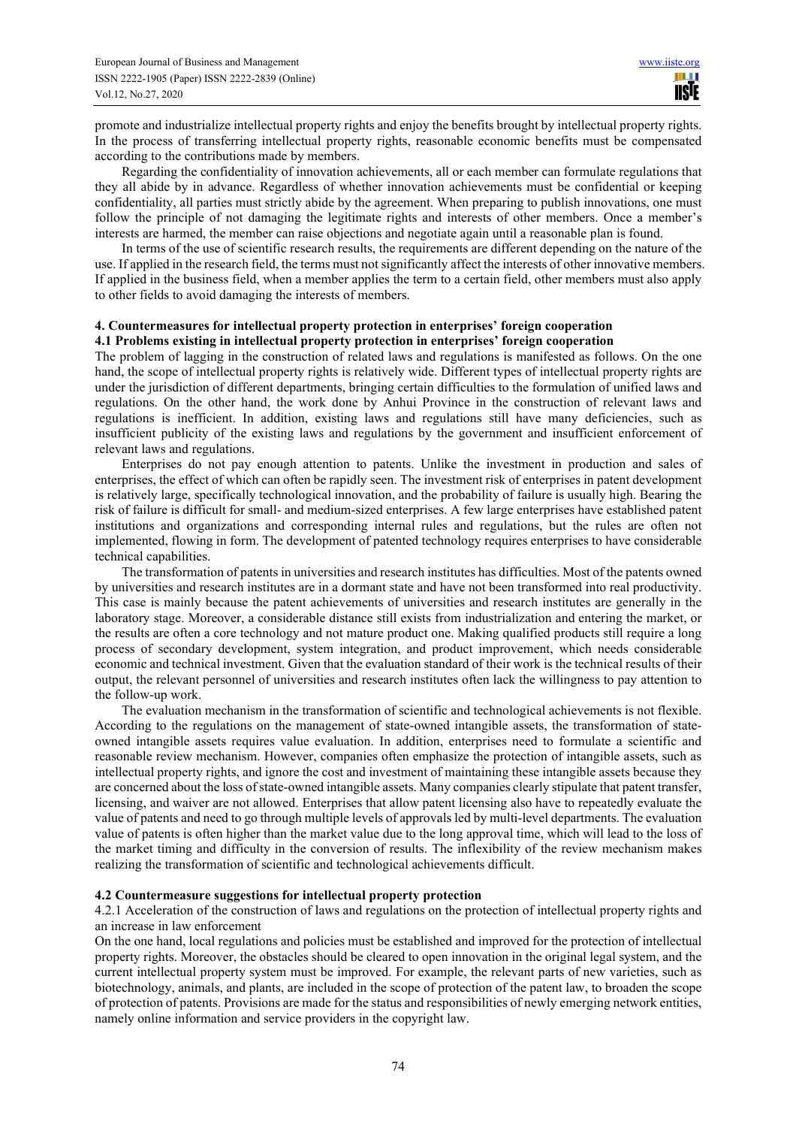promote and industrialize intellectual property rights and enjoy the benefits brought by intellectual property rights. In the process of transferring intellectual property rights, reasonable economic benefits must be compensated according to the contributions made by members.

Regarding the confidentiality of innovation achievements, all or each member can formulate regulations that they all abide by in advance. Regardless of whether innovation achievements must be confidential or keeping confidentiality, all parties must strictly abide by the agreement. When preparing to publish innovations, one must follow the principle of not damaging the legitimate rights and interests of other members. Once a member's interests are harmed, the member can raise objections and negotiate again until a reasonable plan is found.

In terms of the use of scientific research results, the requirements are different depending on the nature of the use. If applied in the research field, the terms must not significantly affect the interests of other innovative members. If applied in the business field, when a member applies the term to a certain field, other members must also apply to other fields to avoid damaging the interests of members.

#### **4. Countermeasures for intellectual property protection in enterprises' foreign cooperation 4.1 Problems existing in intellectual property protection in enterprises' foreign cooperation**

The problem of lagging in the construction of related laws and regulations is manifested as follows. On the one hand, the scope of intellectual property rights is relatively wide. Different types of intellectual property rights are under the jurisdiction of different departments, bringing certain difficulties to the formulation of unified laws and regulations. On the other hand, the work done by Anhui Province in the construction of relevant laws and regulations is inefficient. In addition, existing laws and regulations still have many deficiencies, such as insufficient publicity of the existing laws and regulations by the government and insufficient enforcement of relevant laws and regulations.

Enterprises do not pay enough attention to patents. Unlike the investment in production and sales of enterprises, the effect of which can often be rapidly seen. The investment risk of enterprises in patent development is relatively large, specifically technological innovation, and the probability of failure is usually high. Bearing the risk of failure is difficult for small- and medium-sized enterprises. A few large enterprises have established patent institutions and organizations and corresponding internal rules and regulations, but the rules are often not implemented, flowing in form. The development of patented technology requires enterprises to have considerable technical capabilities.

The transformation of patents in universities and research institutes has difficulties. Most of the patents owned by universities and research institutes are in a dormant state and have not been transformed into real productivity. This case is mainly because the patent achievements of universities and research institutes are generally in the laboratory stage. Moreover, a considerable distance still exists from industrialization and entering the market, or the results are often a core technology and not mature product one. Making qualified products still require a long process of secondary development, system integration, and product improvement, which needs considerable economic and technical investment. Given that the evaluation standard of their work is the technical results of their output, the relevant personnel of universities and research institutes often lack the willingness to pay attention to the follow-up work.

The evaluation mechanism in the transformation of scientific and technological achievements is not flexible. According to the regulations on the management of state-owned intangible assets, the transformation of stateowned intangible assets requires value evaluation. In addition, enterprises need to formulate a scientific and reasonable review mechanism. However, companies often emphasize the protection of intangible assets, such as intellectual property rights, and ignore the cost and investment of maintaining these intangible assets because they are concerned about the loss of state-owned intangible assets. Many companies clearly stipulate that patent transfer, licensing, and waiver are not allowed. Enterprises that allow patent licensing also have to repeatedly evaluate the value of patents and need to go through multiple levels of approvals led by multi-level departments. The evaluation value of patents is often higher than the market value due to the long approval time, which will lead to the loss of the market timing and difficulty in the conversion of results. The inflexibility of the review mechanism makes realizing the transformation of scientific and technological achievements difficult.

## **4.2 Countermeasure suggestions for intellectual property protection**

4.2.1 Acceleration of the construction of laws and regulations on the protection of intellectual property rights and an increase in law enforcement

On the one hand, local regulations and policies must be established and improved for the protection of intellectual property rights. Moreover, the obstacles should be cleared to open innovation in the original legal system, and the current intellectual property system must be improved. For example, the relevant parts of new varieties, such as biotechnology, animals, and plants, are included in the scope of protection of the patent law, to broaden the scope of protection of patents. Provisions are made for the status and responsibilities of newly emerging network entities, namely online information and service providers in the copyright law.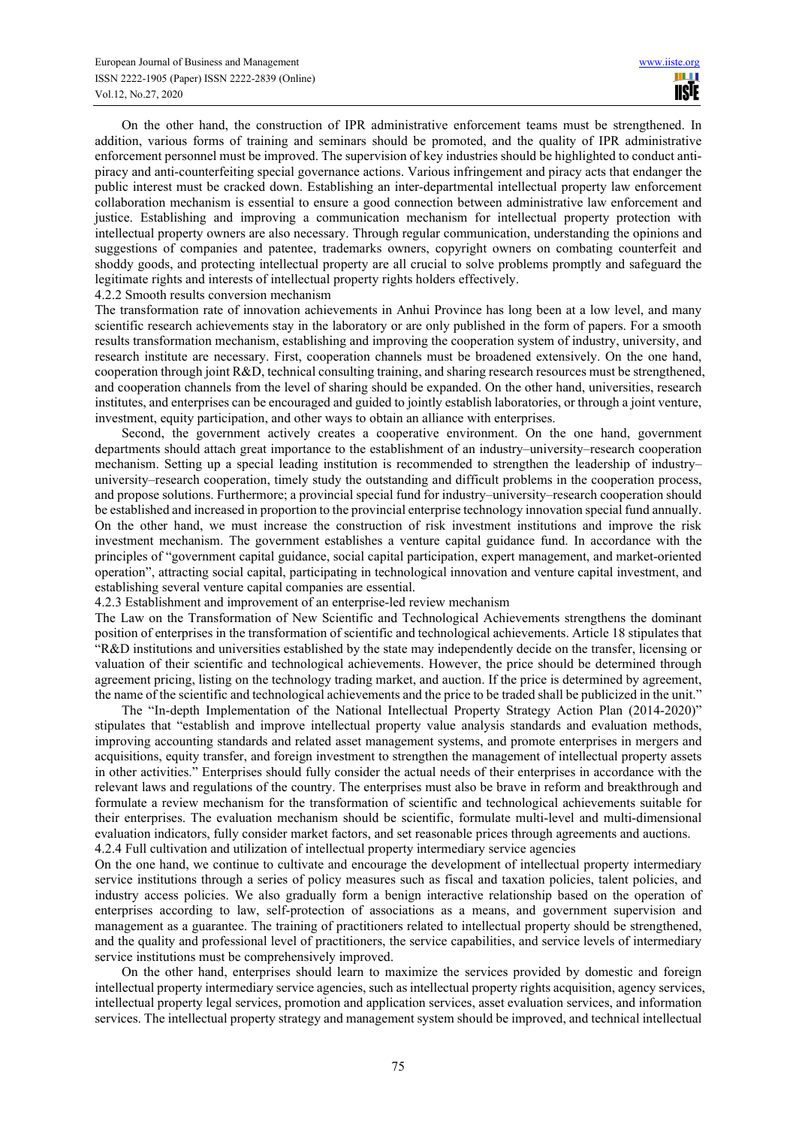On the other hand, the construction of IPR administrative enforcement teams must be strengthened. In addition, various forms of training and seminars should be promoted, and the quality of IPR administrative enforcement personnel must be improved. The supervision of key industries should be highlighted to conduct antipiracy and anti-counterfeiting special governance actions. Various infringement and piracy acts that endanger the public interest must be cracked down. Establishing an inter-departmental intellectual property law enforcement collaboration mechanism is essential to ensure a good connection between administrative law enforcement and justice. Establishing and improving a communication mechanism for intellectual property protection with intellectual property owners are also necessary. Through regular communication, understanding the opinions and suggestions of companies and patentee, trademarks owners, copyright owners on combating counterfeit and shoddy goods, and protecting intellectual property are all crucial to solve problems promptly and safeguard the legitimate rights and interests of intellectual property rights holders effectively.

#### 4.2.2 Smooth results conversion mechanism

The transformation rate of innovation achievements in Anhui Province has long been at a low level, and many scientific research achievements stay in the laboratory or are only published in the form of papers. For a smooth results transformation mechanism, establishing and improving the cooperation system of industry, university, and research institute are necessary. First, cooperation channels must be broadened extensively. On the one hand, cooperation through joint R&D, technical consulting training, and sharing research resources must be strengthened, and cooperation channels from the level of sharing should be expanded. On the other hand, universities, research institutes, and enterprises can be encouraged and guided to jointly establish laboratories, or through a joint venture, investment, equity participation, and other ways to obtain an alliance with enterprises.

Second, the government actively creates a cooperative environment. On the one hand, government departments should attach great importance to the establishment of an industry–university–research cooperation mechanism. Setting up a special leading institution is recommended to strengthen the leadership of industry– university–research cooperation, timely study the outstanding and difficult problems in the cooperation process, and propose solutions. Furthermore; a provincial special fund for industry–university–research cooperation should be established and increased in proportion to the provincial enterprise technology innovation special fund annually. On the other hand, we must increase the construction of risk investment institutions and improve the risk investment mechanism. The government establishes a venture capital guidance fund. In accordance with the principles of "government capital guidance, social capital participation, expert management, and market-oriented operation", attracting social capital, participating in technological innovation and venture capital investment, and establishing several venture capital companies are essential.

4.2.3 Establishment and improvement of an enterprise-led review mechanism

The Law on the Transformation of New Scientific and Technological Achievements strengthens the dominant position of enterprises in the transformation of scientific and technological achievements. Article 18 stipulates that "R&D institutions and universities established by the state may independently decide on the transfer, licensing or valuation of their scientific and technological achievements. However, the price should be determined through agreement pricing, listing on the technology trading market, and auction. If the price is determined by agreement, the name of the scientific and technological achievements and the price to be traded shall be publicized in the unit."

The "In-depth Implementation of the National Intellectual Property Strategy Action Plan (2014-2020)" stipulates that "establish and improve intellectual property value analysis standards and evaluation methods, improving accounting standards and related asset management systems, and promote enterprises in mergers and acquisitions, equity transfer, and foreign investment to strengthen the management of intellectual property assets in other activities." Enterprises should fully consider the actual needs of their enterprises in accordance with the relevant laws and regulations of the country. The enterprises must also be brave in reform and breakthrough and formulate a review mechanism for the transformation of scientific and technological achievements suitable for their enterprises. The evaluation mechanism should be scientific, formulate multi-level and multi-dimensional evaluation indicators, fully consider market factors, and set reasonable prices through agreements and auctions. 4.2.4 Full cultivation and utilization of intellectual property intermediary service agencies

On the one hand, we continue to cultivate and encourage the development of intellectual property intermediary service institutions through a series of policy measures such as fiscal and taxation policies, talent policies, and industry access policies. We also gradually form a benign interactive relationship based on the operation of enterprises according to law, self-protection of associations as a means, and government supervision and management as a guarantee. The training of practitioners related to intellectual property should be strengthened, and the quality and professional level of practitioners, the service capabilities, and service levels of intermediary service institutions must be comprehensively improved.

On the other hand, enterprises should learn to maximize the services provided by domestic and foreign intellectual property intermediary service agencies, such as intellectual property rights acquisition, agency services, intellectual property legal services, promotion and application services, asset evaluation services, and information services. The intellectual property strategy and management system should be improved, and technical intellectual